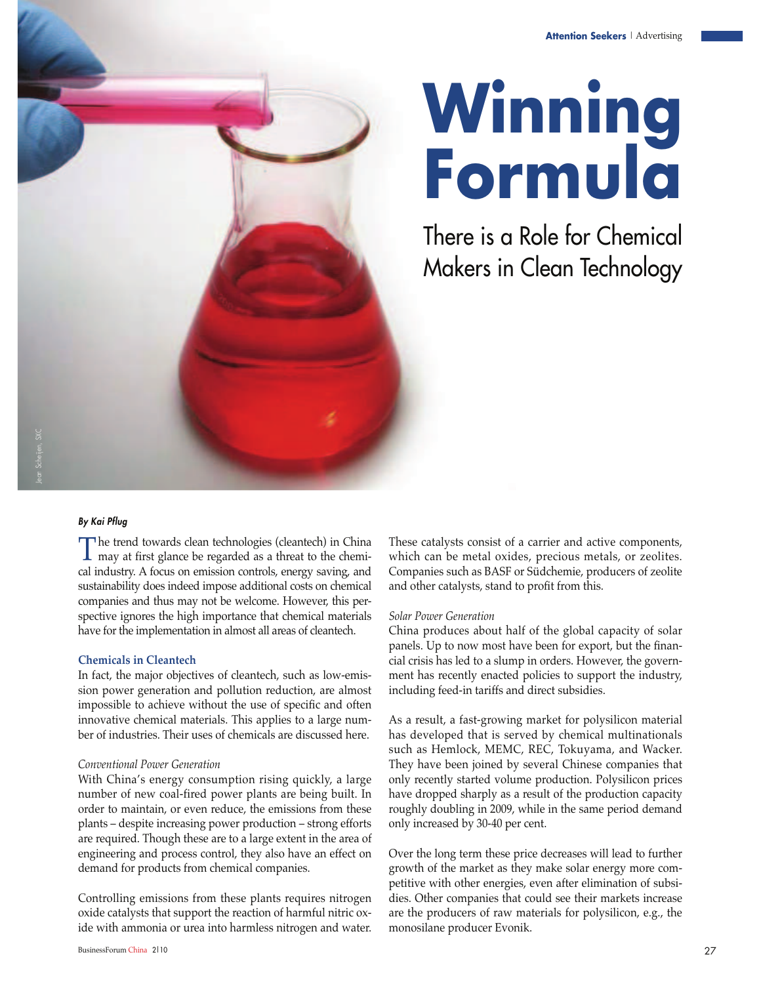

# **Winning Formula**

There is a Role for Chemical Makers in Clean Technology

#### By Kai Pflug

The trend towards clean technologies (cleantech) in China<br>may at first glance be regarded as a threat to the chemi-The trend towards clean technologies (cleantech) in China cal industry. A focus on emission controls, energy saving, and sustainability does indeed impose additional costs on chemical companies and thus may not be welcome. However, this perspective ignores the high importance that chemical materials have for the implementation in almost all areas of cleantech.

#### **Chemicals in Cleantech**

In fact, the major objectives of cleantech, such as low-emission power generation and pollution reduction, are almost impossible to achieve without the use of specific and often innovative chemical materials. This applies to a large number of industries. Their uses of chemicals are discussed here.

#### *Conventional Power Generation*

With China's energy consumption rising quickly, a large number of new coal-fired power plants are being built. In order to maintain, or even reduce, the emissions from these plants – despite increasing power production – strong efforts are required. Though these are to a large extent in the area of engineering and process control, they also have an effect on demand for products from chemical companies.

Controlling emissions from these plants requires nitrogen oxide catalysts that support the reaction of harmful nitric oxide with ammonia or urea into harmless nitrogen and water.

BusinessForum China 2110 27

These catalysts consist of a carrier and active components, which can be metal oxides, precious metals, or zeolites. Companies such as BASF or Südchemie, producers of zeolite and other catalysts, stand to profit from this.

#### *Solar Power Generation*

China produces about half of the global capacity of solar panels. Up to now most have been for export, but the financial crisis has led to a slump in orders. However, the government has recently enacted policies to support the industry, including feed-in tariffs and direct subsidies.

As a result, a fast-growing market for polysilicon material has developed that is served by chemical multinationals such as Hemlock, MEMC, REC, Tokuyama, and Wacker. They have been joined by several Chinese companies that only recently started volume production. Polysilicon prices have dropped sharply as a result of the production capacity roughly doubling in 2009, while in the same period demand only increased by 30-40 per cent.

Over the long term these price decreases will lead to further growth of the market as they make solar energy more competitive with other energies, even after elimination of subsidies. Other companies that could see their markets increase are the producers of raw materials for polysilicon, e.g., the monosilane producer Evonik.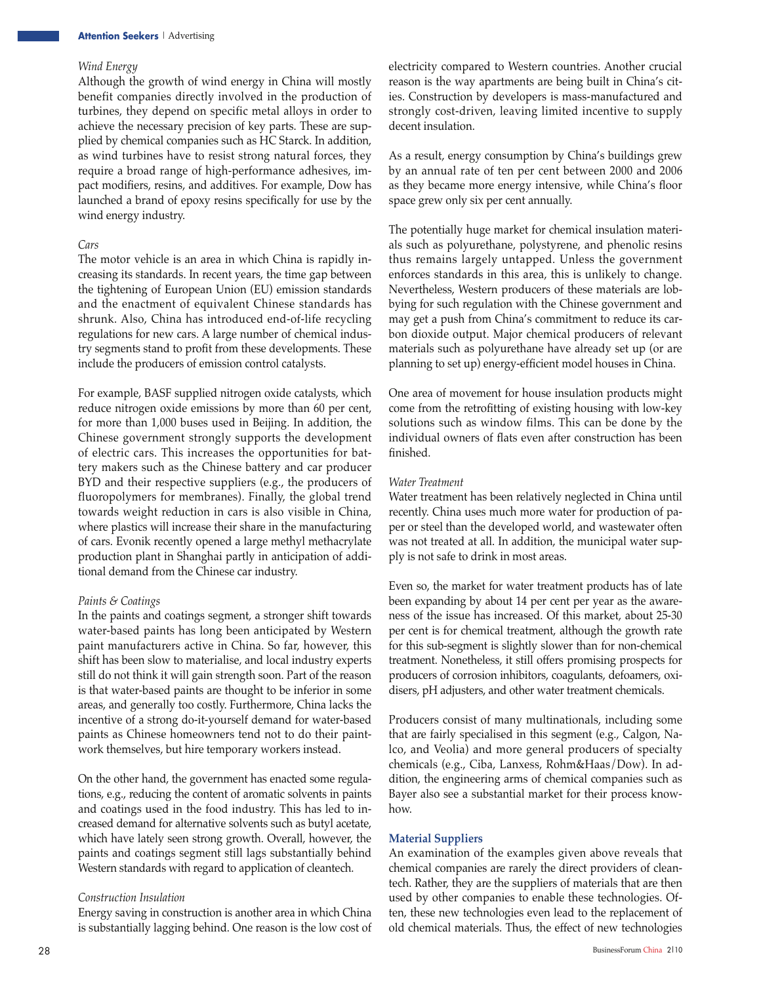#### *Wind Energy*

Although the growth of wind energy in China will mostly benefit companies directly involved in the production of turbines, they depend on specific metal alloys in order to achieve the necessary precision of key parts. These are supplied by chemical companies such as HC Starck. In addition, as wind turbines have to resist strong natural forces, they require a broad range of high-performance adhesives, impact modifiers, resins, and additives. For example, Dow has launched a brand of epoxy resins specifically for use by the wind energy industry.

#### *Cars*

The motor vehicle is an area in which China is rapidly increasing its standards. In recent years, the time gap between the tightening of European Union (EU) emission standards and the enactment of equivalent Chinese standards has shrunk. Also, China has introduced end-of-life recycling regulations for new cars. A large number of chemical industry segments stand to profit from these developments. These include the producers of emission control catalysts.

For example, BASF supplied nitrogen oxide catalysts, which reduce nitrogen oxide emissions by more than 60 per cent, for more than 1,000 buses used in Beijing. In addition, the Chinese government strongly supports the development of electric cars. This increases the opportunities for battery makers such as the Chinese battery and car producer BYD and their respective suppliers (e.g., the producers of fluoropolymers for membranes). Finally, the global trend towards weight reduction in cars is also visible in China, where plastics will increase their share in the manufacturing of cars. Evonik recently opened a large methyl methacrylate production plant in Shanghai partly in anticipation of additional demand from the Chinese car industry.

#### *Paints & Coatings*

In the paints and coatings segment, a stronger shift towards water-based paints has long been anticipated by Western paint manufacturers active in China. So far, however, this shift has been slow to materialise, and local industry experts still do not think it will gain strength soon. Part of the reason is that water-based paints are thought to be inferior in some areas, and generally too costly. Furthermore, China lacks the incentive of a strong do-it-yourself demand for water-based paints as Chinese homeowners tend not to do their paintwork themselves, but hire temporary workers instead.

On the other hand, the government has enacted some regulations, e.g., reducing the content of aromatic solvents in paints and coatings used in the food industry. This has led to increased demand for alternative solvents such as butyl acetate, which have lately seen strong growth. Overall, however, the paints and coatings segment still lags substantially behind Western standards with regard to application of cleantech.

#### *Construction Insulation*

Energy saving in construction is another area in which China is substantially lagging behind. One reason is the low cost of electricity compared to Western countries. Another crucial reason is the way apartments are being built in China's cities. Construction by developers is mass-manufactured and strongly cost-driven, leaving limited incentive to supply decent insulation.

As a result, energy consumption by China's buildings grew by an annual rate of ten per cent between 2000 and 2006 as they became more energy intensive, while China's floor space grew only six per cent annually.

The potentially huge market for chemical insulation materials such as polyurethane, polystyrene, and phenolic resins thus remains largely untapped. Unless the government enforces standards in this area, this is unlikely to change. Nevertheless, Western producers of these materials are lobbying for such regulation with the Chinese government and may get a push from China's commitment to reduce its carbon dioxide output. Major chemical producers of relevant materials such as polyurethane have already set up (or are planning to set up) energy-efficient model houses in China.

One area of movement for house insulation products might come from the retrofitting of existing housing with low-key solutions such as window films. This can be done by the individual owners of flats even after construction has been finished.

#### *Water Treatment*

Water treatment has been relatively neglected in China until recently. China uses much more water for production of paper or steel than the developed world, and wastewater often was not treated at all. In addition, the municipal water supply is not safe to drink in most areas.

Even so, the market for water treatment products has of late been expanding by about 14 per cent per year as the awareness of the issue has increased. Of this market, about 25-30 per cent is for chemical treatment, although the growth rate for this sub-segment is slightly slower than for non-chemical treatment. Nonetheless, it still offers promising prospects for producers of corrosion inhibitors, coagulants, defoamers, oxidisers, pH adjusters, and other water treatment chemicals.

Producers consist of many multinationals, including some that are fairly specialised in this segment (e.g., Calgon, Nalco, and Veolia) and more general producers of specialty chemicals (e.g., Ciba, Lanxess, Rohm&Haas/Dow). In addition, the engineering arms of chemical companies such as Bayer also see a substantial market for their process knowhow.

#### **Material Suppliers**

An examination of the examples given above reveals that chemical companies are rarely the direct providers of cleantech. Rather, they are the suppliers of materials that are then used by other companies to enable these technologies. Often, these new technologies even lead to the replacement of old chemical materials. Thus, the effect of new technologies